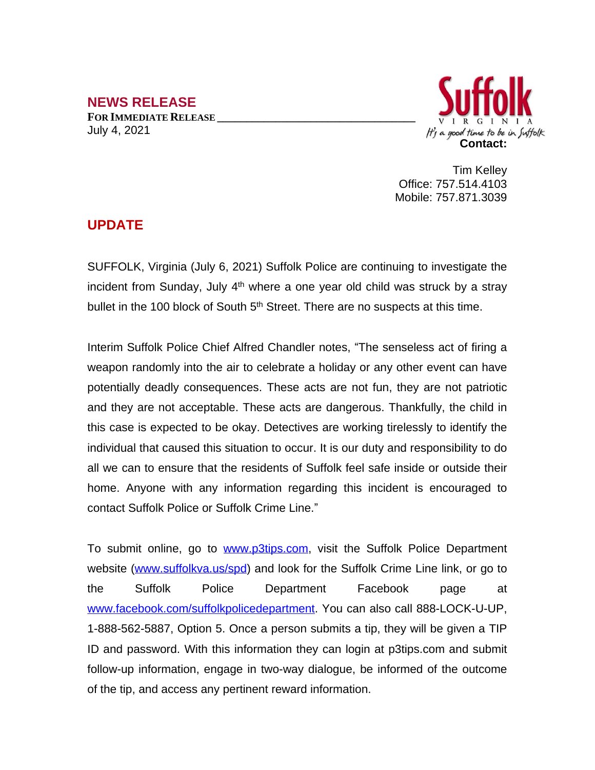## **NEWS RELEASE FOR IMMEDIATE RELEASE \_\_\_\_\_\_\_\_\_\_\_\_\_\_\_\_\_\_\_\_\_\_\_\_\_\_\_\_\_\_\_\_\_\_** July 4, 2021



Tim Kelley Office: 757.514.4103 Mobile: 757.871.3039

## **UPDATE**

SUFFOLK, Virginia (July 6, 2021) Suffolk Police are continuing to investigate the incident from Sunday, July 4<sup>th</sup> where a one year old child was struck by a stray bullet in the 100 block of South 5<sup>th</sup> Street. There are no suspects at this time.

Interim Suffolk Police Chief Alfred Chandler notes, "The senseless act of firing a weapon randomly into the air to celebrate a holiday or any other event can have potentially deadly consequences. These acts are not fun, they are not patriotic and they are not acceptable. These acts are dangerous. Thankfully, the child in this case is expected to be okay. Detectives are working tirelessly to identify the individual that caused this situation to occur. It is our duty and responsibility to do all we can to ensure that the residents of Suffolk feel safe inside or outside their home. Anyone with any information regarding this incident is encouraged to contact Suffolk Police or Suffolk Crime Line."

To submit online, go to [www.p3tips.com](http://www.p3tips.com), visit the Suffolk Police Department website ([www.suffolkva.us/spd](http://www.suffolkva.us/spd)) and look for the Suffolk Crime Line link, or go to the Suffolk Police Department Facebook page at [www.facebook.com/suffolkpolicedepartment](http://www.facebook.com/suffolkpolicedepartment). You can also call 888-LOCK-U-UP, 1-888-562-5887, Option 5. Once a person submits a tip, they will be given a TIP ID and password. With this information they can login at p3tips.com and submit follow-up information, engage in two-way dialogue, be informed of the outcome of the tip, and access any pertinent reward information.